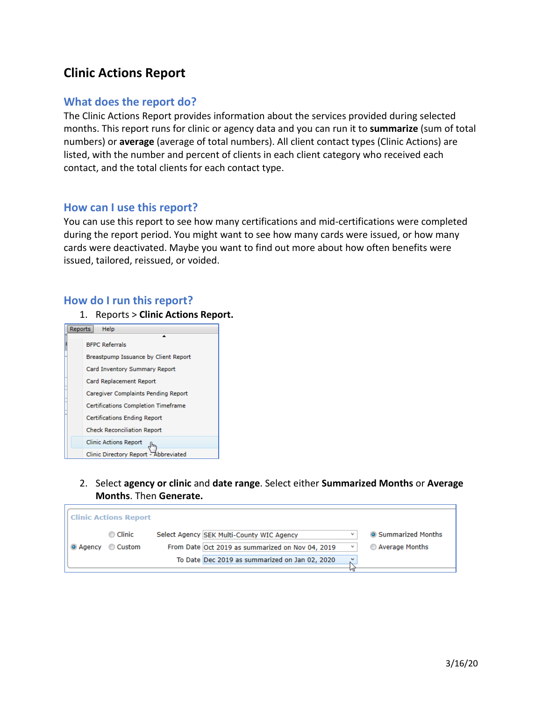# **Clinic Actions Report**

### **What does the report do?**

The Clinic Actions Report provides information about the services provided during selected months. This report runs for clinic or agency data and you can run it to **summarize** (sum of total numbers) or **average** (average of total numbers). All client contact types (Clinic Actions) are listed, with the number and percent of clients in each client category who received each contact, and the total clients for each contact type.

### **How can I use this report?**

You can use this report to see how many certifications and mid-certifications were completed during the report period. You might want to see how many cards were issued, or how many cards were deactivated. Maybe you want to find out more about how often benefits were issued, tailored, reissued, or voided.

### **How do I run this report?**

1. Reports > **Clinic Actions Report.**



2. Select **agency or clinic** and **date range**. Select either **Summarized Months** or **Average Months**. Then **Generate.**

|                 | <b>Clinic Actions Report</b> |                                                  |                   |
|-----------------|------------------------------|--------------------------------------------------|-------------------|
|                 | © Clinic                     | Select Agency SEK Multi-County WIC Agency        | Summarized Months |
| <b>O</b> Agency | © Custom                     | From Date Oct 2019 as summarized on Nov 04, 2019 | Average Months    |
|                 |                              | To Date Dec 2019 as summarized on Jan 02, 2020   |                   |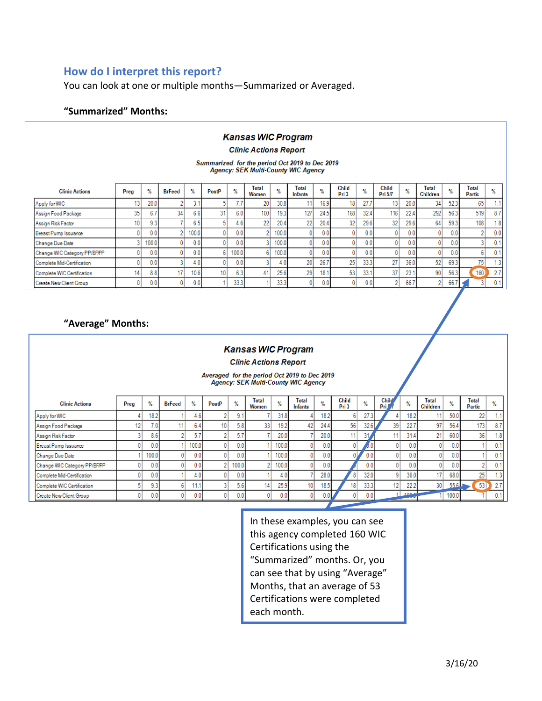## **How do I interpret this report?**

You can look at one or multiple months—Summarized or Averaged.

#### **"Summarized" Months:**

| <b>Kansas WIC Program</b><br><b>Clinic Actions Report</b>                                                                                                                                                                                                   |                 |       |    |       |                 |       |     |       |                 |      |     |      |                |      |                 |      |     |     |
|-------------------------------------------------------------------------------------------------------------------------------------------------------------------------------------------------------------------------------------------------------------|-----------------|-------|----|-------|-----------------|-------|-----|-------|-----------------|------|-----|------|----------------|------|-----------------|------|-----|-----|
| Summarized for the period Oct 2019 to Dec 2019<br><b>Agency: SEK Multi-County WIC Agency</b>                                                                                                                                                                |                 |       |    |       |                 |       |     |       |                 |      |     |      |                |      |                 |      |     |     |
| <b>Child</b><br>Child<br><b>Total</b><br>Total<br><b>Total</b><br>Total<br>$\%$<br>%<br>$\%$<br>%<br>%<br>$\%$<br>$\%$<br>%<br><b>BrFeed</b><br><b>Clinic Actions</b><br>Preg<br>PostP<br>Pri 3<br>Women<br>Pri 5/7<br>Children<br><b>Infants</b><br>Partic |                 |       |    |       |                 |       |     |       |                 |      |     |      |                |      | %               |      |     |     |
| Apply for WIC                                                                                                                                                                                                                                               | 13 <sub>1</sub> | 20.0  |    | 3.1   | 5               |       | 20  | 30.8  | 11              | 16.9 | 18  | 27.7 | 13             | 20.0 | 34              | 523  | 65  | 1.1 |
| Assign Food Package                                                                                                                                                                                                                                         | 35              | 6.7   | 34 | 6.6   | 31              | 6.0   | 100 | 19.3  | 127             | 24.5 | 168 | 32.4 | 116            | 22.4 | 292             | 56.3 | 519 | 8.7 |
| Assign Risk Factor                                                                                                                                                                                                                                          | 10 <sup>°</sup> | 9.3   |    | 6.5   | 5               | 4.6   | 22  | 20.4  | 22              | 20.4 | 32  | 29.6 | 32             | 29.6 | 64              | 59.3 | 108 | 1.8 |
| Breast Pump Issuance                                                                                                                                                                                                                                        |                 | 0.0   |    | 100.0 | $\overline{0}$  | 0.0   |     | 100.0 | 01              | 0.0  |     | 0.0  | 0              | 0.0  | 01              | 0.0  |     | 0.0 |
| Change Due Date                                                                                                                                                                                                                                             |                 | 100.0 |    | 0.0   | $\overline{0}$  | 0.0   | 3   | 100.0 | 0               | 0.0  | 0   | 0.0  | $\overline{0}$ | 0.0  | $\overline{0}$  | 0.0  | 31  | 0.1 |
| Change WIC Category PP/BF/PP                                                                                                                                                                                                                                | 0               | 0.0   |    | 0.0   | 6               | 100.0 | 6   | 100.0 | 01              | 0.0  |     | 0.0  | 0              | 0.0  | 0               | 0.0  | 6   | 0.1 |
| Complete Mid-Certification                                                                                                                                                                                                                                  |                 | 0.0   |    | 4.0   | $\overline{0}$  | 0.0   |     | 4.0   | 20 <sup>1</sup> | 26.7 | 25  | 33.3 | 27             | 36.0 | 52              | 693  | 75  | 1.3 |
| Complete WIC Certification                                                                                                                                                                                                                                  | 14              | 8.8   | 17 | 10.6  | 10 <sup>1</sup> | 6.3   | 41  | 25.6  | 29              | 18.1 | 53  | 33.1 | 37             | 23.1 | 90 <sub>1</sub> | 56.3 | 160 | 2.7 |
| Create New Client Group                                                                                                                                                                                                                                     |                 | 0.0   |    | 0.0   |                 | 333   |     | 33.3  | 01              | 0.0  |     | 0.0  |                | 66.7 | 2               | 66.  |     | 0.1 |

### **"Average" Months:**

#### **Kansas WIC Program**

**Clinic Actions Report** 

Averaged for the period Oct 2019 to Dec 2019<br>Agency: SEK Multi-County WIC Agency

| <b>Clinic Actions</b>        | Preg | %                | BrFeed | $\%$  | PostP           | %                  | Total<br>Women  | ℀     | Total<br><b>Infants</b> | %    | Child<br>Pri 3  | %    | Child <sup>®</sup><br>Prif | %        | <b>Total</b><br>Children | ℀     | Total<br>Partic | %    |
|------------------------------|------|------------------|--------|-------|-----------------|--------------------|-----------------|-------|-------------------------|------|-----------------|------|----------------------------|----------|--------------------------|-------|-----------------|------|
| Apply for WIC                |      | 182              |        | 4.61  |                 | 9.1                |                 | 31.8  |                         | 182  |                 | 27.3 |                            | 182      | 11                       | 50.0  | 22              |      |
| Assign Food Package          | 12   | 7.0 <sub>1</sub> |        | 6.4   | 10 <sup>1</sup> | 5.8                | 33 <sup>1</sup> | 192   | 42                      | 24.4 | 56              | 32.6 | 39                         | 22.7     | 97                       | 56.4  | 173             | 8.7  |
| Assign Risk Factor           |      | 8.6              |        | 5.7   |                 | 5.7                |                 | 20.0  |                         | 20.0 | <b>AA</b>       | 94   |                            | 31.4     | 21                       | 60.0  | 36              | 1.81 |
| Breast Pump Issuance         |      | 0.0              |        | 100.0 |                 | 0.0                |                 | 100.0 |                         | 0.0  |                 |      |                            | 0.0      |                          | 0.0   |                 | 0.1  |
| Change Due Date              |      | 100.0            |        | 0.0   |                 | 0.0                |                 | 100.0 |                         | 0.0  |                 | 0.0  |                            | 0.0      |                          | 0.0   |                 | 0.1  |
| Change WIC Category PP/BF/PP |      | 0.0              |        | 0.0   |                 | 100.0 <sub>1</sub> |                 | 100.0 |                         | 0.0  |                 | 0.0  |                            | 0.01     |                          | 0.0   |                 | 0.1  |
| Complete Mid-Certification   |      | 0.0              |        | 4.0   |                 | 0.0                |                 | 4.0'' |                         | 28.0 |                 | 32.0 |                            | 36.01    | 17 <sub>1</sub>          | 68.0  | 25              | 1.3  |
| Complete WIC Certification   |      | 9.3 <sub>1</sub> |        |       |                 | 5.6                |                 | 25.9  | 10 <sup>1</sup>         | 18.5 | 18 <sub>1</sub> | 33.3 | 12                         | 222      | 30 <sup>1</sup>          | 556L  | 53              | 2.7  |
| Create New Client Group      |      | 0.0              |        | 0.0   |                 | 0.0                |                 | 0.0   | $\overline{0}$          | 0.0  |                 | 0.0  |                            | هممه اله |                          | 100.0 |                 | 0.1  |
|                              |      |                  |        |       |                 |                    |                 |       |                         |      |                 |      |                            |          |                          |       |                 |      |

In these examples, you can see this agency completed 160 WIC Certifications using the "Summarized" months. Or, you can see that by using "Average" Months, that an average of 53 Certifications were completed each month.